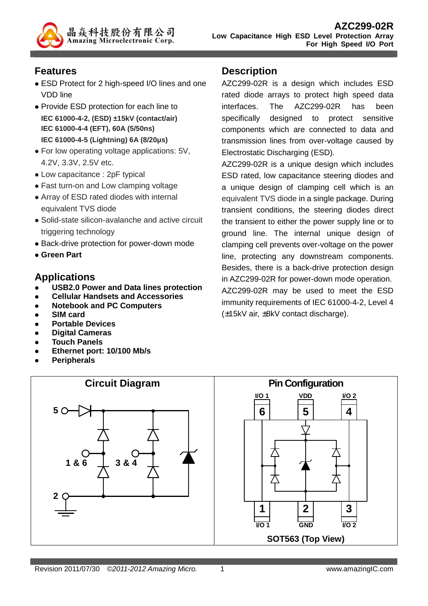

# **Features**

- ESD Protect for 2 high-speed I/O lines and one VDD line
- Provide ESD protection for each line to **IEC 61000-4-2, (ESD) ±15kV (contact/air) IEC 61000-4-4 (EFT), 60A (5/50ns) IEC 61000-4-5 (Lightning) 6A (8/20µs)**
- For low operating voltage applications: 5V, 4.2V, 3.3V, 2.5V etc.
- Low capacitance : 2pF typical
- Fast turn-on and Low clamping voltage
- Array of ESD rated diodes with internal equivalent TVS diode
- Solid-state silicon-avalanche and active circuit triggering technology
- Back-drive protection for power-down mode
- **Green Part**

# **Applications**

- **USB2.0 Power and Data lines protection**
- **Cellular Handsets and Accessories**
- **Notebook and PC Computers**
- **SIM card**
- **Portable Devices**
- **Digital Cameras**
- **Touch Panels**
- **Ethernet port: 10/100 Mb/s**
- **Peripherals**

# **Description**

AZC299-02R is a design which includes ESD rated diode arrays to protect high speed data interfaces. The AZC299-02R has been specifically designed to protect sensitive components which are connected to data and transmission lines from over-voltage caused by Electrostatic Discharging (ESD).

AZC299-02R is a unique design which includes ESD rated, low capacitance steering diodes and a unique design of clamping cell which is an equivalent TVS diode in a single package. During transient conditions, the steering diodes direct the transient to either the power supply line or to ground line. The internal unique design of clamping cell prevents over-voltage on the power line, protecting any downstream components. Besides, there is a back-drive protection design in AZC299-02R for power-down mode operation. AZC299-02R may be used to meet the ESD immunity requirements of IEC 61000-4-2, Level 4 (±15kV air, ±8kV contact discharge).

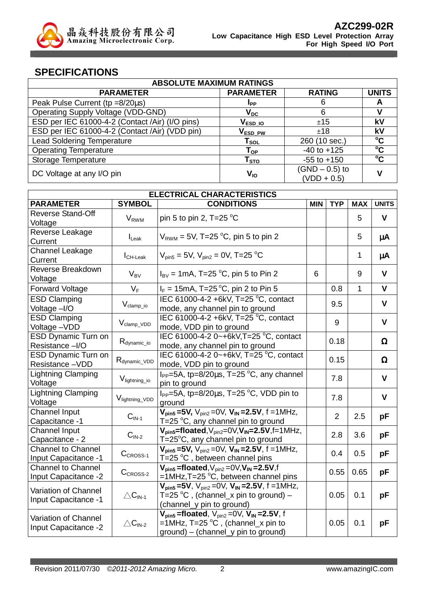

## **SPECIFICATIONS**

| <b>ABSOLUTE MAXIMUM RATINGS</b>                 |                                 |                                   |                 |
|-------------------------------------------------|---------------------------------|-----------------------------------|-----------------|
| <b>PARAMETER</b>                                | <b>PARAMETER</b>                | <b>RATING</b>                     | <b>UNITS</b>    |
| Peak Pulse Current ( $tp = 8/20 \mu s$ )        | <b>I</b> pp                     | 6                                 | A               |
| Operating Supply Voltage (VDD-GND)              | $V_{DC}$                        | 6                                 |                 |
| ESD per IEC 61000-4-2 (Contact /Air) (I/O pins) | $\mathsf{V}_{\textsf{ESD\_IO}}$ | ±15                               | kV              |
| ESD per IEC 61000-4-2 (Contact /Air) (VDD pin)  | V <sub>ESD_PW</sub>             | ±18                               | kV              |
| <b>Lead Soldering Temperature</b>               | ${\sf T}_{\sf SOL}$             | 260 (10 sec.)                     | $\rm ^{\circ}C$ |
| <b>Operating Temperature</b>                    | $T_{OP}$                        | $-40$ to $+125$                   | $\rm ^{o}C$     |
| Storage Temperature                             | T <sub>STO</sub>                | $-55$ to $+150$                   | $\rm ^{o}C$     |
| DC Voltage at any I/O pin                       | $V_{10}$                        | $(GND - 0.5)$ to<br>$(VDD + 0.5)$ |                 |

| <b>ELECTRICAL CHARACTERISTICS</b>                        |                               |                                                                                                                                                                     |            |                |              |              |
|----------------------------------------------------------|-------------------------------|---------------------------------------------------------------------------------------------------------------------------------------------------------------------|------------|----------------|--------------|--------------|
| <b>PARAMETER</b>                                         | <b>SYMBOL</b>                 | <b>CONDITIONS</b>                                                                                                                                                   | <b>MIN</b> | <b>TYP</b>     | <b>MAX</b>   | <b>UNITS</b> |
| <b>Reverse Stand-Off</b><br>Voltage                      | <b>V</b> <sub>RWM</sub>       | pin 5 to pin 2, $T=25 \degree C$                                                                                                                                    |            |                | 5            | $\mathbf{V}$ |
| Reverse Leakage<br>Current                               | $I_{\text{L}eak}$             | $V_{\text{RWM}}$ = 5V, T=25 °C, pin 5 to pin 2                                                                                                                      |            |                | 5            | μA           |
| <b>Channel Leakage</b><br>Current                        | $I_{CH\text{-}\text{Leak}}$   | $V_{pin5} = 5V$ , $V_{pin2} = 0V$ , T=25 °C                                                                                                                         |            |                | $\mathbf{1}$ | μA           |
| Reverse Breakdown<br>Voltage                             | $V_{BV}$                      | $I_{\text{BV}}$ = 1mA, T=25 °C, pin 5 to Pin 2                                                                                                                      | 6          |                | 9            | $\mathbf{V}$ |
| <b>Forward Voltage</b>                                   | $V_F$                         | $I_F = 15 \text{mA}$ , T=25 °C, pin 2 to Pin 5                                                                                                                      |            | 0.8            | 1            | $\mathbf{V}$ |
| <b>ESD Clamping</b><br>Voltage -I/O                      | $V_{\text{clamp\_io}}$        | IEC 61000-4-2 +6kV, T=25 °C, contact<br>mode, any channel pin to ground                                                                                             |            | 9.5            |              | $\mathbf{V}$ |
| <b>ESD Clamping</b><br>Voltage-VDD                       | $V_{\text{clamp\_VDD}}$       | IEC 61000-4-2 +6kV, T=25 °C, contact<br>mode, VDD pin to ground                                                                                                     |            | 9              |              | $\mathbf{V}$ |
| <b>ESD Dynamic Turn on</b><br>Resistance - I/O           | $R_{\text{dynamic\_io}}$      | IEC 61000-4-2 0~+6kV, T=25 °C, contact<br>mode, any channel pin to ground                                                                                           |            | 0.18           |              | Ω            |
| <b>ESD Dynamic Turn on</b><br>Resistance-VDD             | $R_{\text{dynamic\_VDD}}$     | IEC 61000-4-2 0~+6kV, T=25 °C, contact<br>mode, VDD pin to ground                                                                                                   |            | 0.15           |              | $\Omega$     |
| <b>Lightning Clamping</b><br>Voltage                     | V <sub>lightning_io</sub>     | $I_{PP}$ =5A, tp=8/20 $\mu$ s, T=25 °C, any channel<br>pin to ground                                                                                                |            | 7.8            |              | $\mathbf{V}$ |
| <b>Lightning Clamping</b><br>Voltage                     | Viightning_VDD                | $I_{PP}$ =5A, tp=8/20 $\mu$ s, T=25 °C, VDD pin to<br>ground                                                                                                        |            | 7.8            |              | $\mathbf{V}$ |
| <b>Channel Input</b><br>Capacitance -1                   | $CIN-1$                       | $V_{\text{pin5}} = 5V$ , $V_{\text{pin2}} = 0V$ , $V_{\text{IN}} = 2.5V$ , f = 1MHz,<br>T=25 °C, any channel pin to ground                                          |            | $\overline{2}$ | 2.5          | pF           |
| <b>Channel Input</b><br>Capacitance - 2                  | $CIN-2$                       | $V_{pin5}$ =floated, $V_{pin2}=0V$ , $V_{IN}=2.5V$ , f=1MHz,<br>T=25°C, any channel pin to ground                                                                   |            | 2.8            | 3.6          | pF           |
| <b>Channel to Channel</b><br><b>Input Capacitance -1</b> | $C_{CROS-1}$                  | $V_{pin5} = 5V$ , $V_{pin2} = 0V$ , $V_{IN} = 2.5V$ , f = 1MHz,<br>T=25 °C , bet <u>ween channel pins</u>                                                           |            | 0.4            | 0.5          | pF           |
| <b>Channel to Channel</b><br>Input Capacitance -2        | $CCROS-2$                     | $\overline{V_{\text{pin5}}}$ =floated, $V_{\text{pin2}}$ =0 $V, V_{IN}$ =2.5 $V, f$<br>=1MHz,T=25 °C, between channel pins                                          |            | 0.55           | 0.65         | pF           |
| Variation of Channel<br>Input Capacitance -1             | $\triangle C_{\text{IN-1}}$   | $V_{\text{pin5}} = 5V$ , $V_{\text{pin2}} = 0V$ , $V_{\text{IN}} = 2.5V$ , f = 1MHz,<br>T=25 $^{\circ}$ C, (channel_x pin to ground) –<br>(channel_y pin to ground) |            | 0.05           | 0.1          | pF           |
| Variation of Channel<br>Input Capacitance -2             | $\triangle C_{\mathsf{IN-2}}$ | $V_{pin5}$ =floated, $V_{pin2}$ =0V, $V_{IN}$ =2.5V, f<br>=1MHz, T=25 °C , (channel_x pin to<br>ground) – (channel_y pin to ground)                                 |            | 0.05           | 0.1          | pF           |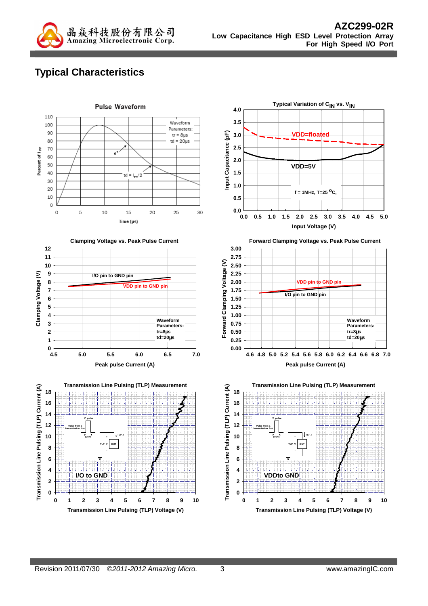

# **Typical Characteristics**









**Transmission Line Pulsing (TLP) Voltage (V)**

**0 1 2 3 4 5 6 7 8 9 10**

**I/O to GND**

**0 2 4**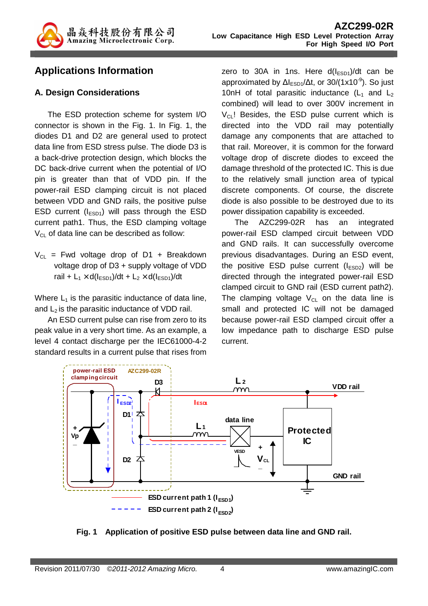

# **Applications Information**

### **A. Design Considerations**

The ESD protection scheme for system I/O connector is shown in the Fig. 1. In Fig. 1, the diodes D1 and D2 are general used to protect data line from ESD stress pulse. The diode D3 is a back-drive protection design, which blocks the DC back-drive current when the potential of I/O pin is greater than that of VDD pin. If the power-rail ESD clamping circuit is not placed between VDD and GND rails, the positive pulse ESD current  $(I_{\text{ESD1}})$  will pass through the ESD current path1. Thus, the ESD clamping voltage  $V_{\text{Cl}}$  of data line can be described as follow:

 $V_{CL}$  = Fwd voltage drop of D1 + Breakdown voltage drop of D3 + supply voltage of VDD rail +  $L_1 \times d(l_{ESD1})/dt$  +  $L_2 \times d(l_{ESD1})/dt$ 

Where  $L_1$  is the parasitic inductance of data line, and  $L_2$  is the parasitic inductance of VDD rail.

An ESD current pulse can rise from zero to its peak value in a very short time. As an example, a level 4 contact discharge per the IEC61000-4-2 standard results in a current pulse that rises from

zero to 30A in 1ns. Here  $d(I<sub>FSD1</sub>)/dt$  can be approximated by  $\Delta l_{FSD1}/\Delta t$ , or 30/(1x10<sup>-9</sup>). So just 10nH of total parasitic inductance  $(L_1$  and  $L_2$ combined) will lead to over 300V increment in  $V_{\text{Cl}}$ ! Besides, the ESD pulse current which is directed into the VDD rail may potentially damage any components that are attached to that rail. Moreover, it is common for the forward voltage drop of discrete diodes to exceed the damage threshold of the protected IC. This is due to the relatively small junction area of typical discrete components. Of course, the discrete diode is also possible to be destroyed due to its power dissipation capability is exceeded.

The AZC299-02R has an integrated power-rail ESD clamped circuit between VDD and GND rails. It can successfully overcome previous disadvantages. During an ESD event, the positive ESD pulse current  $(I_{ESD2})$  will be directed through the integrated power-rail ESD clamped circuit to GND rail (ESD current path2). The clamping voltage  $V_{\text{Cl}}$  on the data line is small and protected IC will not be damaged because power-rail ESD clamped circuit offer a low impedance path to discharge ESD pulse current.



**Fig. 1 Application of positive ESD pulse between data line and GND rail.**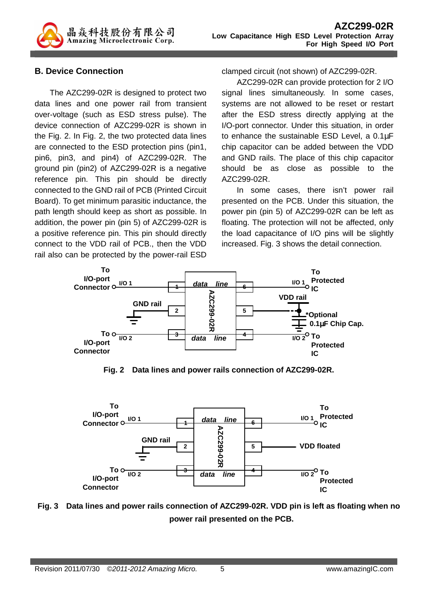

### **B. Device Connection**

The AZC299-02R is designed to protect two data lines and one power rail from transient over-voltage (such as ESD stress pulse). The device connection of AZC299-02R is shown in the Fig. 2. In Fig. 2, the two protected data lines are connected to the ESD protection pins (pin1, pin6, pin3, and pin4) of AZC299-02R. The ground pin (pin2) of AZC299-02R is a negative reference pin. This pin should be directly connected to the GND rail of PCB (Printed Circuit Board). To get minimum parasitic inductance, the path length should keep as short as possible. In addition, the power pin (pin 5) of AZC299-02R is a positive reference pin. This pin should directly connect to the VDD rail of PCB., then the VDD rail also can be protected by the power-rail ESD

#### clamped circuit (not shown) of AZC299-02R.

AZC299-02R can provide protection for 2 I/O signal lines simultaneously. In some cases, systems are not allowed to be reset or restart after the ESD stress directly applying at the I/O-port connector. Under this situation, in order to enhance the sustainable ESD Level, a 0.1µF chip capacitor can be added between the VDD and GND rails. The place of this chip capacitor should be as close as possible to the AZC299-02R.

In some cases, there isn't power rail presented on the PCB. Under this situation, the power pin (pin 5) of AZC299-02R can be left as floating. The protection will not be affected, only the load capacitance of I/O pins will be slightly increased. Fig. 3 shows the detail connection.



**Fig. 2 Data lines and power rails connection of AZC299-02R.** 



**Fig. 3 Data lines and power rails connection of AZC299-02R. VDD pin is left as floating when no power rail presented on the PCB.**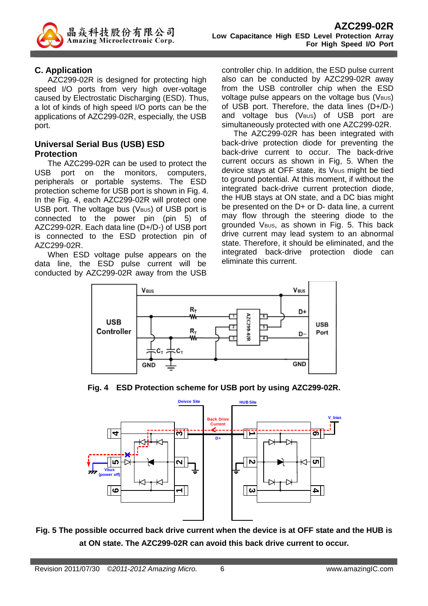

### **C. Application**

AZC299-02R is designed for protecting high speed I/O ports from very high over-voltage caused by Electrostatic Discharging (ESD). Thus, a lot of kinds of high speed I/O ports can be the applications of AZC299-02R, especially, the USB port.

### **Universal Serial Bus (USB) ESD Protection**

The AZC299-02R can be used to protect the USB port on the monitors, computers, peripherals or portable systems. The ESD protection scheme for USB port is shown in Fig. 4. In the Fig. 4, each AZC299-02R will protect one USB port. The voltage bus (VBUS) of USB port is connected to the power pin (pin 5) of AZC299-02R. Each data line (D+/D-) of USB port is connected to the ESD protection pin of AZC299-02R.

When ESD voltage pulse appears on the data line, the ESD pulse current will be conducted by AZC299-02R away from the USB

controller chip. In addition, the ESD pulse current also can be conducted by AZC299-02R away from the USB controller chip when the ESD voltage pulse appears on the voltage bus (VBUS) of USB port. Therefore, the data lines (D+/D-) and voltage bus (VBUS) of USB port are simultaneously protected with one AZC299-02R.

The AZC299-02R has been integrated with back-drive protection diode for preventing the back-drive current to occur. The back-drive current occurs as shown in Fig, 5. When the device stays at OFF state, its VBUS might be tied to ground potential. At this moment, if without the integrated back-drive current protection diode, the HUB stays at ON state, and a DC bias might be presented on the D+ or D- data line, a current may flow through the steering diode to the grounded V<sub>BUS</sub>, as shown in Fig. 5. This back drive current may lead system to an abnormal state. Therefore, it should be eliminated, and the integrated back-drive protection diode can eliminate this current.



**Fig. 4 ESD Protection scheme for USB port by using AZC299-02R.**



**Fig. 5 The possible occurred back drive current when the device is at OFF state and the HUB is at ON state. The AZC299-02R can avoid this back drive current to occur.**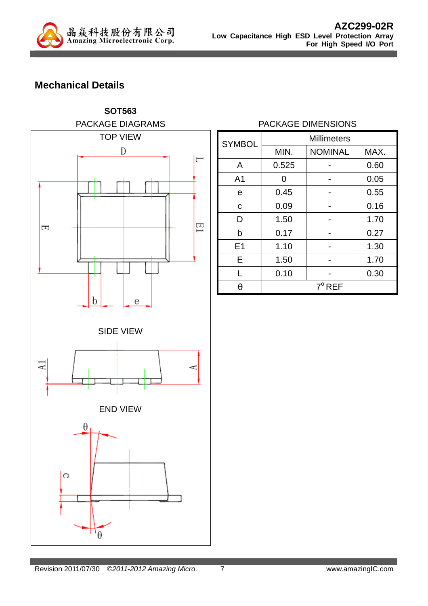

# **Mechanical Details**



### PACKAGE DIMENSIONS

| <b>SYMBOL</b>  | <b>Millimeters</b>     |               |      |  |
|----------------|------------------------|---------------|------|--|
|                | <b>NOMINAL</b><br>MIN. |               | MAX. |  |
| A              | 0.525                  |               | 0.60 |  |
| A <sub>1</sub> | O                      |               | 0.05 |  |
| е              | 0.45                   |               | 0.55 |  |
| C              | 0.09                   |               | 0.16 |  |
| D              | 1.50                   |               | 1.70 |  |
| b              | 0.17                   |               | 0.27 |  |
| E <sub>1</sub> | 1.10                   |               | 1.30 |  |
| E              | 1.50                   |               | 1.70 |  |
| L              | 0.10                   |               | 0.30 |  |
| θ              |                        | $7^\circ$ REF |      |  |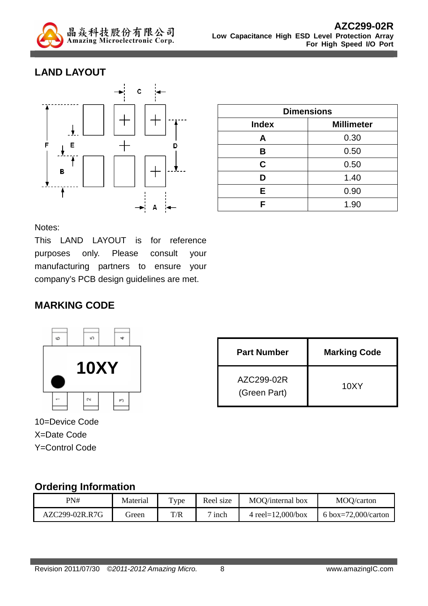

# **LAND LAYOUT**



| <b>Dimensions</b> |                   |  |
|-------------------|-------------------|--|
| <b>Index</b>      | <b>Millimeter</b> |  |
| A                 | 0.30              |  |
| в                 | 0.50              |  |
| $\mathbf{C}$      | 0.50              |  |
| D                 | 1.40              |  |
| Е                 | 0.90              |  |
|                   | 1.90              |  |

Notes:

This LAND LAYOUT is for reference purposes only. Please consult your manufacturing partners to ensure your company's PCB design guidelines are met.

# **MARKING CODE**



**Part Number** Marking Code AZC299-02R (Green Part) 10XY

10=Device Code X=Date Code Y=Control Code

# **Ordering Information**

| PN#            | Material | $_{\text{Type}}$ | Reel size | MOQ/internal box      | MOQ/carton          |
|----------------|----------|------------------|-----------|-----------------------|---------------------|
| AZC299-02R.R7G | ireen    | T/R              | inch      | 4 reel= $12,000/b$ ox | 6 box=72,000/carton |